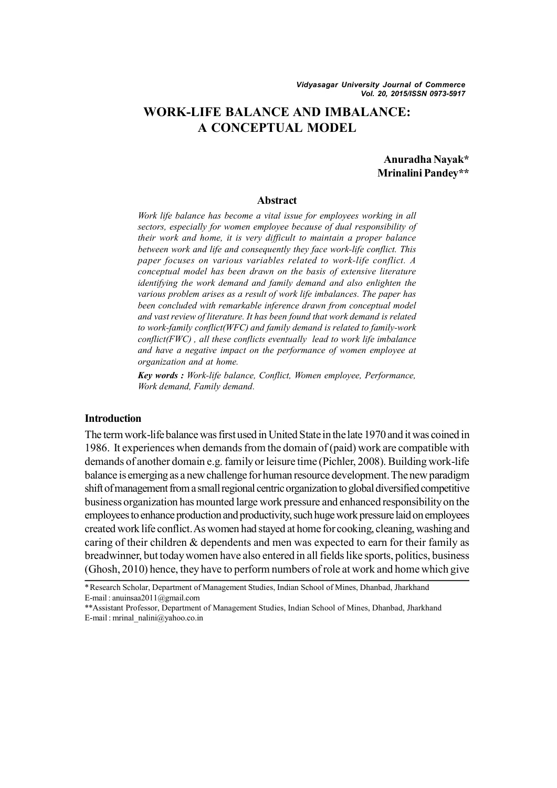# **WORK-LIFE BALANCE AND IMBALANCE: A CONCEPTUAL MODEL**

**Anuradha Nayak\* Mrinalini Pandey\*\***

#### **Abstract**

*Work life balance has become a vital issue for employees working in all sectors, especially for women employee because of dual responsibility of their work and home, it is very difficult to maintain a proper balance between work and life and consequently they face work-life conflict. This paper focuses on various variables related to work-life conflict. A conceptual model has been drawn on the basis of extensive literature identifying the work demand and family demand and also enlighten the various problem arises as a result of work life imbalances. The paper has been concluded with remarkable inference drawn from conceptual model and vast review of literature. It has been found that work demand is related to work-family conflict(WFC) and family demand is related to family-work conflict(FWC) , all these conflicts eventually lead to work life imbalance and have a negative impact on the performance of women employee at organization and at home.*

*Key words : Work-life balance, Conflict, Women employee, Performance, Work demand, Family demand.*

#### **Introduction**

The term work-life balance was first used in United State in the late 1970 and it was coined in 1986. It experiences when demands from the domain of (paid) work are compatible with demands of another domain e.g. family or leisure time (Pichler, 2008). Building work-life balance is emerging as a new challenge for human resource development. The new paradigm shift of management from a small regional centric organization to global diversified competitive business organization has mounted large work pressure and enhanced responsibility on the employees to enhance production and productivity, such huge work pressure laid on employees created work life conflict. As women had stayed at home for cooking, cleaning, washing and caring of their children & dependents and men was expected to earn for their family as breadwinner, but today women have also entered in all fields like sports, politics, business (Ghosh, 2010) hence, they have to perform numbers of role at work and home which give

<sup>\*</sup>Research Scholar, Department of Management Studies, Indian School of Mines, Dhanbad, Jharkhand E-mail : anuinsaa2011@gmail.com

<sup>\*\*</sup>Assistant Professor, Department of Management Studies, Indian School of Mines, Dhanbad, Jharkhand E-mail : mrinal\_nalini@yahoo.co.in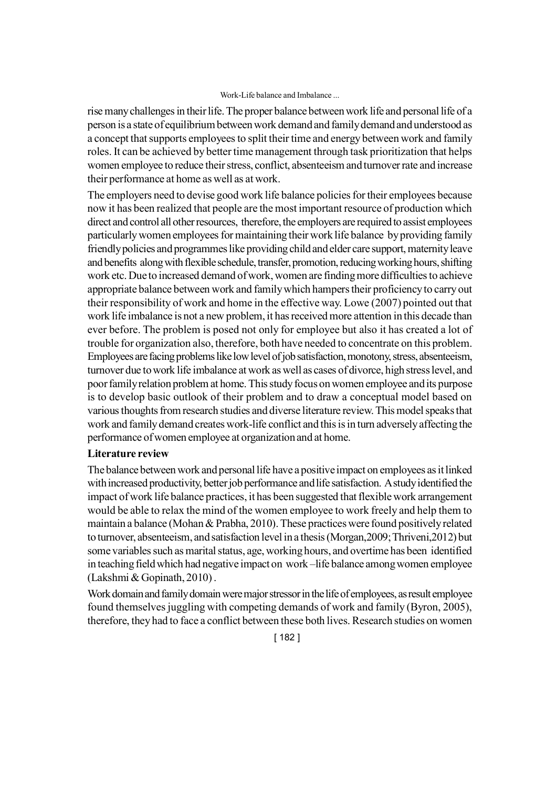rise many challenges in their life. The proper balance between work life and personal life of a person is a state of equilibrium between work demand and family demand and understood as a concept that supports employees to split their time and energy between work and family roles. It can be achieved by better time management through task prioritization that helps women employee to reduce their stress, conflict, absenteeism and turnover rate and increase their performance at home as well as at work.

The employers need to devise good work life balance policies for their employees because now it has been realized that people are the most important resource of production which direct and control all other resources, therefore, the employers are required to assist employees particularly women employees for maintaining their work life balance by providing family friendly policies and programmes like providing child and elder care support, maternity leave and benefits along with flexible schedule, transfer, promotion, reducing working hours, shifting work etc. Due to increased demand of work, women are finding more difficulties to achieve appropriate balance between work and family which hampers their proficiency to carry out their responsibility of work and home in the effective way. Lowe (2007) pointed out that work life imbalance is not a new problem, it has received more attention in this decade than ever before. The problem is posed not only for employee but also it has created a lot of trouble for organization also, therefore, both have needed to concentrate on this problem. Employees are facing problems like low level of job satisfaction, monotony, stress, absenteeism, turnover due to work life imbalance at work as well as cases of divorce, high stress level, and poor family relation problem at home. This study focus on women employee and its purpose is to develop basic outlook of their problem and to draw a conceptual model based on various thoughts from research studies and diverse literature review. This model speaks that work and family demand creates work-life conflict and this is in turn adversely affecting the performance of women employee at organization and at home.

### **Literature review**

The balance between work and personal life have a positive impact on employees as it linked with increased productivity, better job performance and life satisfaction. A study identified the impact of work life balance practices, it has been suggested that flexible work arrangement would be able to relax the mind of the women employee to work freely and help them to maintain a balance (Mohan & Prabha, 2010). These practices were found positively related to turnover, absenteeism, and satisfaction level in a thesis (Morgan,2009; Thriveni,2012) but some variables such as marital status, age, working hours, and overtime has been identified in teaching field which had negative impact on work –life balance among women employee (Lakshmi & Gopinath, 2010) .

Work domain and family domain were major stressor in the life of employees, as result employee found themselves juggling with competing demands of work and family (Byron, 2005), therefore, they had to face a conflict between these both lives. Research studies on women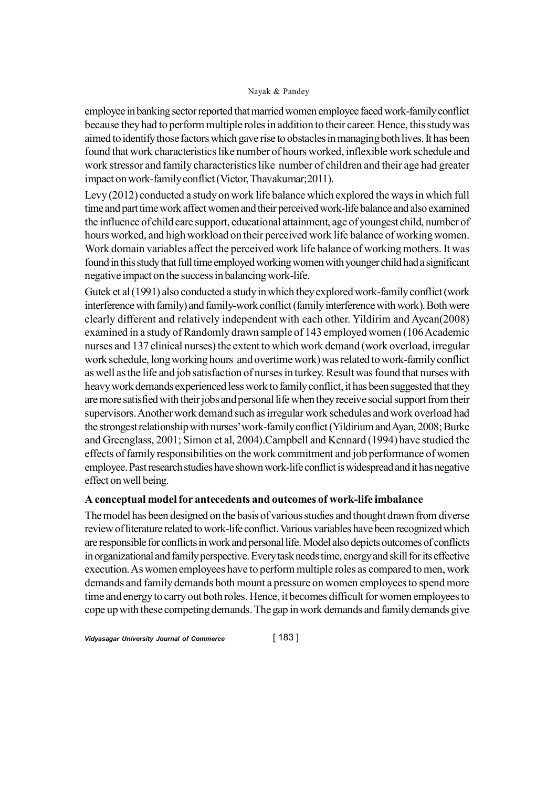employee in banking sector reported that married women employee faced work-family conflict because they had to perform multiple roles in addition to their career. Hence, this study was aimed to identify those factors which gave rise to obstacles in managing both lives. It has been found that work characteristics like number of hours worked, inflexible work schedule and work stressor and family characteristics like number of children and their age had greater impact on work-family conflict (Victor, Thavakumar;2011).

Levy (2012) conducted a study on work life balance which explored the ways in which full time and part time work affect women and their perceived work-life balance and also examined the influence of child care support, educational attainment, age of youngest child, number of hours worked, and high workload on their perceived work life balance of working women. Work domain variables affect the perceived work life balance of working mothers. It was found in this study that full time employed working women with younger child had a significant negative impact on the success in balancing work-life.

Gutek et al (1991) also conducted a study in which they explored work-family conflict (work interference with family) and family-work conflict (family interference with work). Both were clearly different and relatively independent with each other. Yildirim and Aycan(2008) examined in a study of Randomly drawn sample of 143 employed women (106 Academic nurses and 137 clinical nurses) the extent to which work demand (work overload, irregular work schedule, long working hours and overtime work) was related to work-family conflict as well as the life and job satisfaction of nurses in turkey. Result was found that nurses with heavy work demands experienced less work to family conflict, it has been suggested that they are more satisfied with their jobs and personal life when they receive social support from their supervisors. Another work demand such as irregular work schedules and work overload had the strongest relationship with nurses' work-family conflict (Yildirium and Ayan, 2008; Burke and Greenglass, 2001; Simon et al, 2004).Campbell and Kennard (1994) have studied the effects of family responsibilities on the work commitment and job performance of women employee. Past research studies have shown work-life conflict is widespread and it has negative effect on well being.

### **A conceptual model for antecedents and outcomes of work-life imbalance**

The model has been designed on the basis of various studies and thought drawn from diverse review of literature related to work-life conflict. Various variables have been recognized which are responsible for conflicts in work and personal life. Model also depicts outcomes of conflicts in organizational and family perspective. Every task needs time, energy and skill for its effective execution. As women employees have to perform multiple roles as compared to men, work demands and family demands both mount a pressure on women employees to spend more time and energy to carry out both roles. Hence, it becomes difficult for women employees to cope up with these competing demands. The gap in work demands and family demands give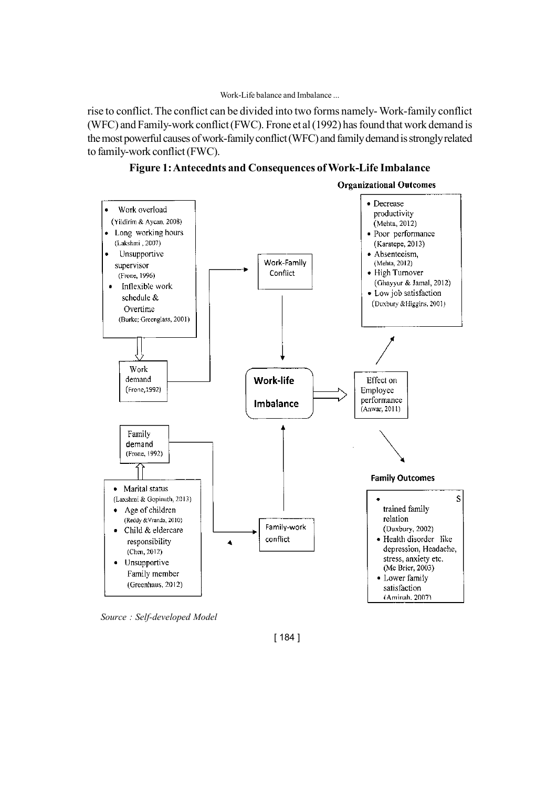rise to conflict. The conflict can be divided into two forms namely- Work-family conflict (WFC) and Family-work conflict (FWC). Frone et al (1992) has found that work demand is the most powerful causes of work-family conflict (WFC) and family demand is strongly related to family-work conflict (FWC).



**Figure 1: Antecednts and Consequences of Work-Life Imbalance**

*Source : Self-developed Model*

[ 184 ]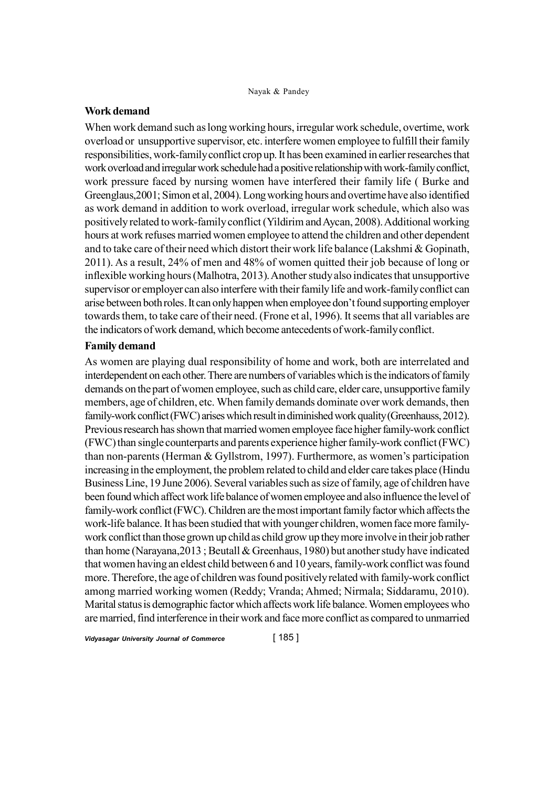### **Work demand**

When work demand such as long working hours, irregular work schedule, overtime, work overload or unsupportive supervisor, etc. interfere women employee to fulfill their family responsibilities, work-family conflict crop up. It has been examined in earlier researches that work overload and irregular work schedule had a positive relationship with work-family conflict, work pressure faced by nursing women have interfered their family life ( Burke and Greenglaus,2001; Simon et al, 2004). Long working hours and overtime have also identified as work demand in addition to work overload, irregular work schedule, which also was positively related to work-family conflict (Yildirim and Aycan, 2008). Additional working hours at work refuses married women employee to attend the children and other dependent and to take care of their need which distort their work life balance (Lakshmi & Gopinath, 2011). As a result, 24% of men and 48% of women quitted their job because of long or inflexible working hours (Malhotra, 2013). Another study also indicates that unsupportive supervisor or employer can also interfere with their family life and work-family conflict can arise between both roles. It can only happen when employee don't found supporting employer towards them, to take care of their need. (Frone et al, 1996). It seems that all variables are the indicators of work demand, which become antecedents of work-family conflict.

### **Family demand**

As women are playing dual responsibility of home and work, both are interrelated and interdependent on each other. There are numbers of variables which is the indicators of family demands on the part of women employee, such as child care, elder care, unsupportive family members, age of children, etc. When family demands dominate over work demands, then family-work conflict (FWC) arises which result in diminished work quality (Greenhauss, 2012). Previous research has shown that married women employee face higher family-work conflict (FWC) than single counterparts and parents experience higher family-work conflict (FWC) than non-parents (Herman & Gyllstrom, 1997). Furthermore, as women's participation increasing in the employment, the problem related to child and elder care takes place (Hindu Business Line, 19 June 2006). Several variables such as size of family, age of children have been found which affect work life balance of women employee and also influence the level of family-work conflict (FWC). Children are the most important family factor which affects the work-life balance. It has been studied that with younger children, women face more familywork conflict than those grown up child as child grow up they more involve in their job rather than home (Narayana,2013 ; Beutall & Greenhaus, 1980) but another study have indicated that women having an eldest child between 6 and 10 years, family-work conflict was found more. Therefore, the age of children was found positively related with family-work conflict among married working women (Reddy; Vranda; Ahmed; Nirmala; Siddaramu, 2010). Marital status is demographic factor which affects work life balance. Women employees who are married, find interference in their work and face more conflict as compared to unmarried

*Vidyasagar University Journal of Commerce* [ 185 ]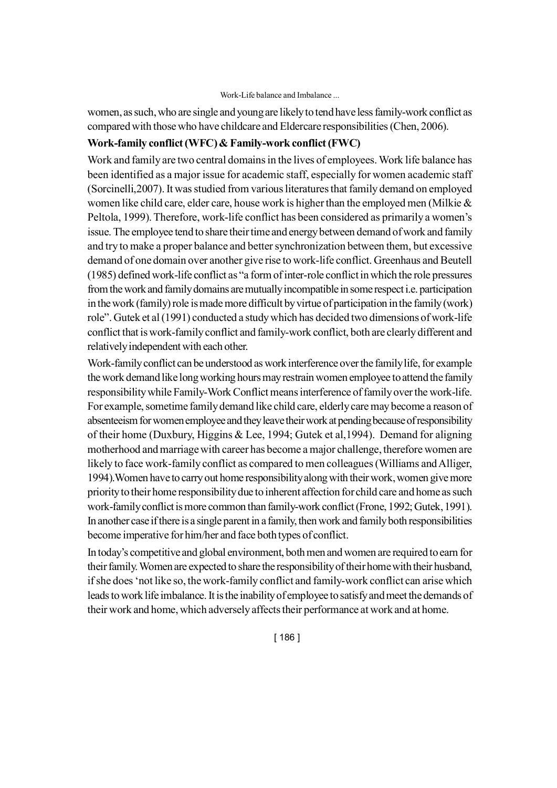women, as such, who are single and young are likely to tend have less family-work conflict as compared with those who have childcare and Eldercare responsibilities (Chen, 2006).

# **Work-family conflict (WFC) & Family-work conflict (FWC)**

Work and family are two central domains in the lives of employees. Work life balance has been identified as a major issue for academic staff, especially for women academic staff (Sorcinelli,2007). It was studied from various literatures that family demand on employed women like child care, elder care, house work is higher than the employed men (Milkie & Peltola, 1999). Therefore, work-life conflict has been considered as primarily a women's issue. The employee tend to share their time and energy between demand of work and family and try to make a proper balance and better synchronization between them, but excessive demand of one domain over another give rise to work-life conflict. Greenhaus and Beutell (1985) defined work-life conflict as "a form of inter-role conflict in which the role pressures from the work and family domains are mutually incompatible in some respect i.e. participation in the work (family) role is made more difficult by virtue of participation in the family (work) role". Gutek et al (1991) conducted a study which has decided two dimensions of work-life conflict that is work-family conflict and family-work conflict, both are clearly different and relatively independent with each other.

Work-family conflict can be understood as work interference over the family life, for example the work demand like long working hours may restrain women employee to attend the family responsibility while Family-Work Conflict means interference of family over the work-life. For example, sometime family demand like child care, elderly care may become a reason of absenteeism for women employee and they leave their work at pending because of responsibility of their home (Duxbury, Higgins & Lee, 1994; Gutek et al,1994). Demand for aligning motherhood and marriage with career has become a major challenge, therefore women are likely to face work-family conflict as compared to men colleagues (Williams and Alliger, 1994).Women have to carry out home responsibility along with their work, women give more priority to their home responsibility due to inherent affection for child care and home as such work-family conflict is more common than family-work conflict (Frone, 1992; Gutek, 1991). In another case if there is a single parent in a family, then work and family both responsibilities become imperative for him/her and face both types of conflict.

In today's competitive and global environment, both men and women are required to earn for their family. Women are expected to share the responsibility of their home with their husband, if she does 'not like so, the work-family conflict and family-work conflict can arise which leads to work life imbalance. It is the inability of employee to satisfy and meet the demands of their work and home, which adversely affects their performance at work and at home.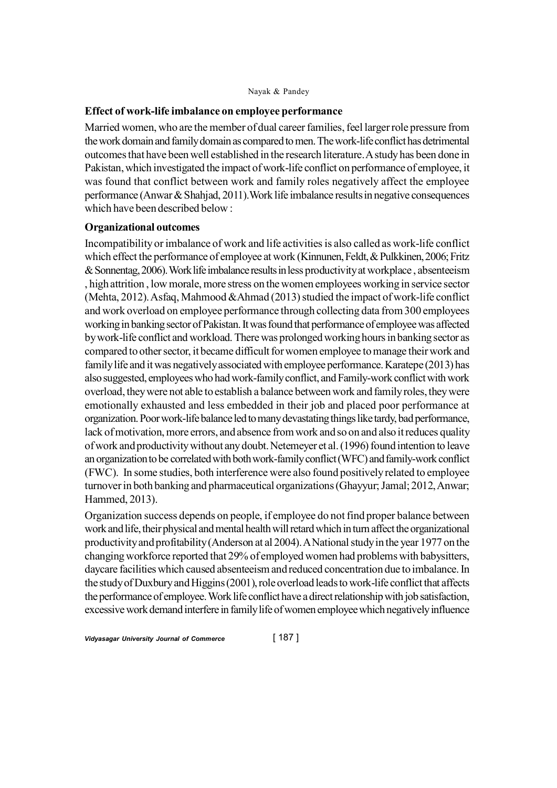### **Effect of work-life imbalance on employee performance**

Married women, who are the member of dual career families, feel larger role pressure from the work domain and family domain as compared to men. The work-life conflict has detrimental outcomes that have been well established in the research literature. A study has been done in Pakistan, which investigated the impact of work-life conflict on performance of employee, it was found that conflict between work and family roles negatively affect the employee performance (Anwar & Shahjad, 2011).Work life imbalance results in negative consequences which have been described below :

### **Organizational outcomes**

Incompatibility or imbalance of work and life activities is also called as work-life conflict which effect the performance of employee at work (Kinnunen, Feldt, & Pulkkinen, 2006; Fritz & Sonnentag, 2006). Work life imbalance results in less productivity at workplace , absenteeism , high attrition , low morale, more stress on the women employees working in service sector (Mehta, 2012). Asfaq, Mahmood &Ahmad (2013) studied the impact of work-life conflict and work overload on employee performance through collecting data from 300 employees working in banking sector of Pakistan. It was found that performance of employee was affected by work-life conflict and workload. There was prolonged working hours in banking sector as compared to other sector, it became difficult for women employee to manage their work and family life and it was negatively associated with employee performance. Karatepe (2013) has also suggested, employees who had work-family conflict, and Family-work conflict with work overload, they were not able to establish a balance between work and family roles, they were emotionally exhausted and less embedded in their job and placed poor performance at organization. Poor work-life balance led to many devastating things like tardy, bad performance, lack of motivation, more errors, and absence from work and so on and also it reduces quality of work and productivity without any doubt. Netemeyer et al. (1996) found intention to leave an organization to be correlated with both work-family conflict (WFC) and family-work conflict (FWC). In some studies, both interference were also found positively related to employee turnover in both banking and pharmaceutical organizations (Ghayyur; Jamal; 2012, Anwar; Hammed, 2013).

Organization success depends on people, if employee do not find proper balance between work and life, their physical and mental health will retard which in turn affect the organizational productivity and profitability (Anderson at al 2004). A National study in the year 1977 on the changing workforce reported that 29% of employed women had problems with babysitters, daycare facilities which caused absenteeism and reduced concentration due to imbalance. In the study of Duxbury and Higgins (2001), role overload leads to work-life conflict that affects the performance of employee. Work life conflict have a direct relationship with job satisfaction, excessive work demand interfere in family life of women employee which negatively influence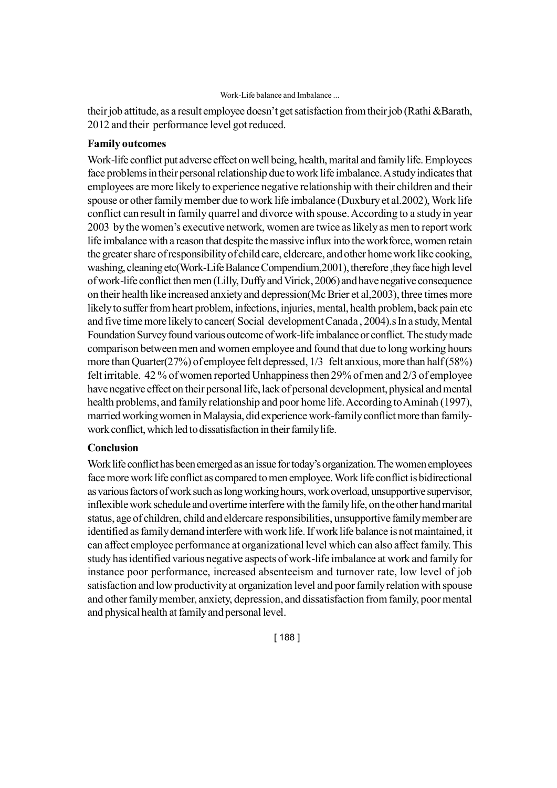their job attitude, as a result employee doesn't get satisfaction from their job (Rathi &Barath, 2012 and their performance level got reduced.

### **Family outcomes**

Work-life conflict put adverse effect on well being, health, marital and family life. Employees face problems in their personal relationship due to work life imbalance. A study indicates that employees are more likely to experience negative relationship with their children and their spouse or other family member due to work life imbalance (Duxbury et al.2002), Work life conflict can result in family quarrel and divorce with spouse. According to a study in year 2003 by the women's executive network, women are twice as likely as men to report work life imbalance with a reason that despite the massive influx into the workforce, women retain the greater share of responsibility of child care, eldercare, and other home work like cooking, washing, cleaning etc(Work-Life Balance Compendium,2001), therefore ,they face high level of work-life conflict then men (Lilly, Duffy and Virick, 2006) and have negative consequence on their health like increased anxiety and depression(Mc Brier et al,2003), three times more likely to suffer from heart problem, infections, injuries, mental, health problem, back pain etc and five time more likely to cancer( Social development Canada , 2004).s In a study, Mental Foundation Survey found various outcome of work-life imbalance or conflict. The study made comparison between men and women employee and found that due to long working hours more than Quarter(27%) of employee felt depressed, 1/3 felt anxious, more than half (58%) felt irritable. 42 % of women reported Unhappiness then 29% of men and 2/3 of employee have negative effect on their personal life, lack of personal development, physical and mental health problems, and family relationship and poor home life. According to Aminah (1997), married working women in Malaysia, did experience work-family conflict more than familywork conflict, which led to dissatisfaction in their family life.

### **Conclusion**

Work life conflict has been emerged as an issue for today's organization. The women employees face more work life conflict as compared to men employee. Work life conflict is bidirectional as various factors of work such as long working hours, work overload, unsupportive supervisor, inflexible work schedule and overtime interfere with the family life, on the other hand marital status, age of children, child and eldercare responsibilities, unsupportive family member are identified as family demand interfere with work life. If work life balance is not maintained, it can affect employee performance at organizational level which can also affect family. This study has identified various negative aspects of work-life imbalance at work and family for instance poor performance, increased absenteeism and turnover rate, low level of job satisfaction and low productivity at organization level and poor family relation with spouse and other family member, anxiety, depression, and dissatisfaction from family, poor mental and physical health at family and personal level.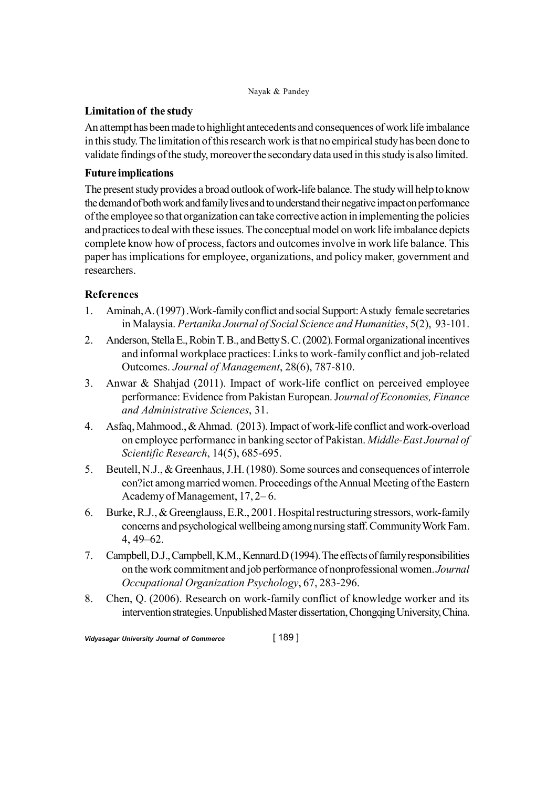# **Limitation of the study**

An attempt has been made to highlight antecedents and consequences of work life imbalance in this study. The limitation of this research work is that no empirical study has been done to validate findings of the study, moreover the secondary data used in this study is also limited.

# **Future implications**

The present study provides a broad outlook of work-life balance. The study will help to know the demand of both work and family lives and to understand their negative impact on performance of the employee so that organization can take corrective action in implementing the policies and practices to deal with these issues. The conceptual model on work life imbalance depicts complete know how of process, factors and outcomes involve in work life balance. This paper has implications for employee, organizations, and policy maker, government and researchers.

# **References**

- 1. Aminah, A. (1997) .Work-family conflict and social Support: A study female secretaries in Malaysia. *Pertanika Journal of Social Science and Humanities*, 5(2), 93-101.
- 2. Anderson, Stella E., Robin T. B., and Betty S. C. (2002). Formal organizational incentives and informal workplace practices: Links to work-family conflict and job-related Outcomes. *Journal of Management*, 28(6), 787-810.
- 3. Anwar & Shahjad (2011). Impact of work-life conflict on perceived employee performance: Evidence from Pakistan European. J*ournal of Economies, Finance and Administrative Sciences*, 31.
- 4. Asfaq, Mahmood., & Ahmad. (2013). Impact of work-life conflict and work-overload on employee performance in banking sector of Pakistan. *Middle-East Journal of Scientific Research*, 14(5), 685-695.
- 5. Beutell, N.J., & Greenhaus, J.H. (1980). Some sources and consequences of interrole con?ict among married women. Proceedings of the Annual Meeting of the Eastern Academy of Management, 17, 2– 6.
- 6. Burke, R.J., & Greenglauss, E.R., 2001. Hospital restructuring stressors, work-family concerns and psychological wellbeing among nursing staff. Community Work Fam. 4, 49–62.
- 7. Campbell, D.J., Campbell, K.M., Kennard.D (1994). The effects of family responsibilities on the work commitment and job performance of nonprofessional women. *Journal Occupational Organization Psychology*, 67, 283-296.
- 8. Chen, Q. (2006). Research on work-family conflict of knowledge worker and its intervention strategies. Unpublished Master dissertation, Chongqing University, China.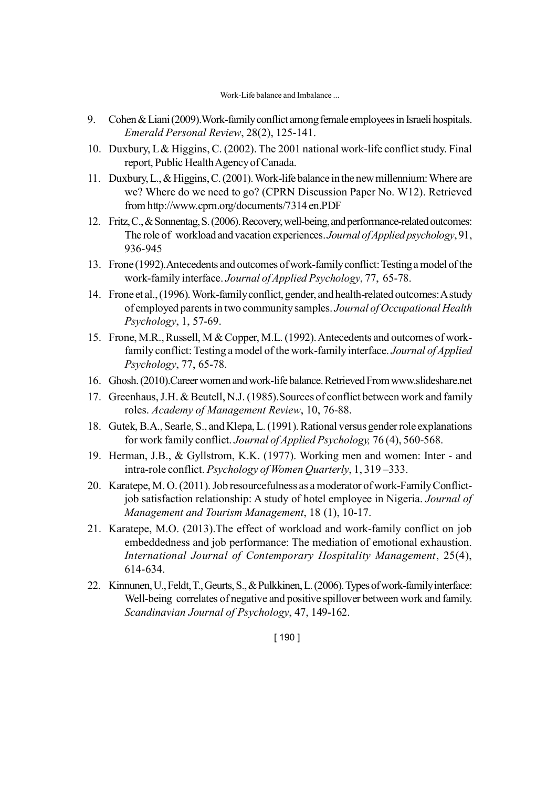- 9. Cohen & Liani (2009).Work-family conflict among female employees in Israeli hospitals. *Emerald Personal Review*, 28(2), 125-141.
- 10. Duxbury, L & Higgins, C. (2002). The 2001 national work-life conflict study. Final report, Public Health Agency of Canada.
- 11. Duxbury, L., & Higgins, C. (2001). Work-life balance in the new millennium: Where are we? Where do we need to go? (CPRN Discussion Paper No. W12). Retrieved from http://www.cprn.org/documents/7314 en.PDF
- 12. Fritz, C., & Sonnentag, S. (2006). Recovery, well-being, and performance-related outcomes: The role of workload and vacation experiences. *Journal of Applied psychology*, 91, 936-945
- 13. Frone (1992).Antecedents and outcomes of work-family conflict: Testing a model of the work-family interface. *Journal of Applied Psychology*, 77, 65-78.
- 14. Frone et al., (1996). Work-family conflict, gender, and health-related outcomes: A study of employed parents in two community samples. *Journal of Occupational Health Psychology*, 1, 57-69.
- 15. Frone, M.R., Russell, M & Copper, M.L. (1992). Antecedents and outcomes of workfamily conflict: Testing a model of the work-family interface. *Journal of Applied Psychology*, 77, 65-78.
- 16. Ghosh. (2010).Career women and work-life balance. Retrieved From www.slideshare.net
- 17. Greenhaus, J.H. & Beutell, N.J. (1985).Sources of conflict between work and family roles. *Academy of Management Review*, 10, 76-88.
- 18. Gutek, B.A., Searle, S., and Klepa, L. (1991). Rational versus gender role explanations for work family conflict. *Journal of Applied Psychology,* 76 (4), 560-568.
- 19. Herman, J.B., & Gyllstrom, K.K. (1977). Working men and women: Inter and intra-role conflict. *Psychology of Women Quarterly*, 1, 319 –333.
- 20. Karatepe, M. O. (2011). Job resourcefulness as a moderator of work-Family Conflictjob satisfaction relationship: A study of hotel employee in Nigeria. *Journal of Management and Tourism Management*, 18 (1), 10-17.
- 21. Karatepe, M.O. (2013).The effect of workload and work-family conflict on job embeddedness and job performance: The mediation of emotional exhaustion. *International Journal of Contemporary Hospitality Management*, 25(4), 614-634.
- 22. Kinnunen, U., Feldt, T., Geurts, S., & Pulkkinen, L. (2006). Types of work-family interface: Well-being correlates of negative and positive spillover between work and family. *Scandinavian Journal of Psychology*, 47, 149-162.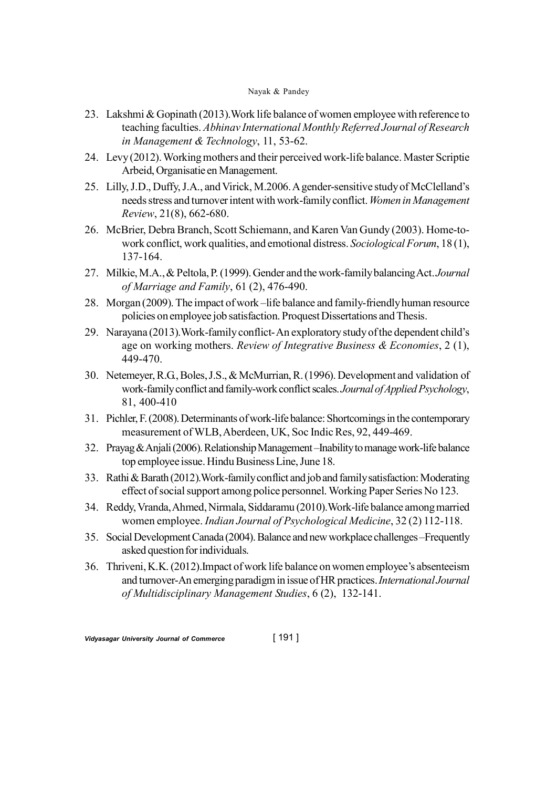- 23. Lakshmi & Gopinath (2013).Work life balance of women employee with reference to teaching faculties. *Abhinav International Monthly Referred Journal of Research in Management & Technology*, 11, 53-62.
- 24. Levy (2012). Working mothers and their perceived work-life balance. Master Scriptie Arbeid, Organisatie en Management.
- 25. Lilly, J.D., Duffy, J.A., and Virick, M.2006. A gender-sensitive study of McClelland's needs stress and turnover intent with work-family conflict. *Women in Management Review*, 21(8), 662-680.
- 26. McBrier, Debra Branch, Scott Schiemann, and Karen Van Gundy (2003). Home-towork conflict, work qualities, and emotional distress. *Sociological Forum*, 18 (1), 137-164.
- 27. Milkie, M.A., & Peltola, P. (1999). Gender and the work-family balancing Act. *Journal of Marriage and Family*, 61 (2), 476-490.
- 28. Morgan (2009). The impact of work –life balance and family-friendly human resource policies on employee job satisfaction. Proquest Dissertations and Thesis.
- 29. Narayana (2013).Work-family conflict- An exploratory study of the dependent child's age on working mothers. *Review of Integrative Business & Economies*, 2 (1), 449-470.
- 30. Netemeyer, R.G., Boles, J.S., & McMurrian, R. (1996). Development and validation of work-family conflict and family-work conflict scales. *Journal of Applied Psychology*, 81, 400-410
- 31. Pichler, F. (2008). Determinants of work-life balance: Shortcomings in the contemporary measurement of WLB, Aberdeen, UK, Soc Indic Res, 92, 449-469.
- 32. Prayag & Anjali (2006). Relationship Management –Inability to manage work-life balance top employee issue. Hindu Business Line, June 18.
- 33. Rathi & Barath (2012).Work-family conflict and job and family satisfaction: Moderating effect of social support among police personnel. Working Paper Series No 123.
- 34. Reddy, Vranda, Ahmed, Nirmala, Siddaramu (2010).Work-life balance among married women employee. *Indian Journal of Psychological Medicine*, 32 (2) 112-118.
- 35. Social Development Canada (2004). Balance and new workplace challenges –Frequently asked question for individuals.
- 36. Thriveni, K.K. (2012).Impact of work life balance on women employee's absenteeism and turnover-An emerging paradigm in issue of HR practices. *International Journal of Multidisciplinary Management Studies*, 6 (2), 132-141.